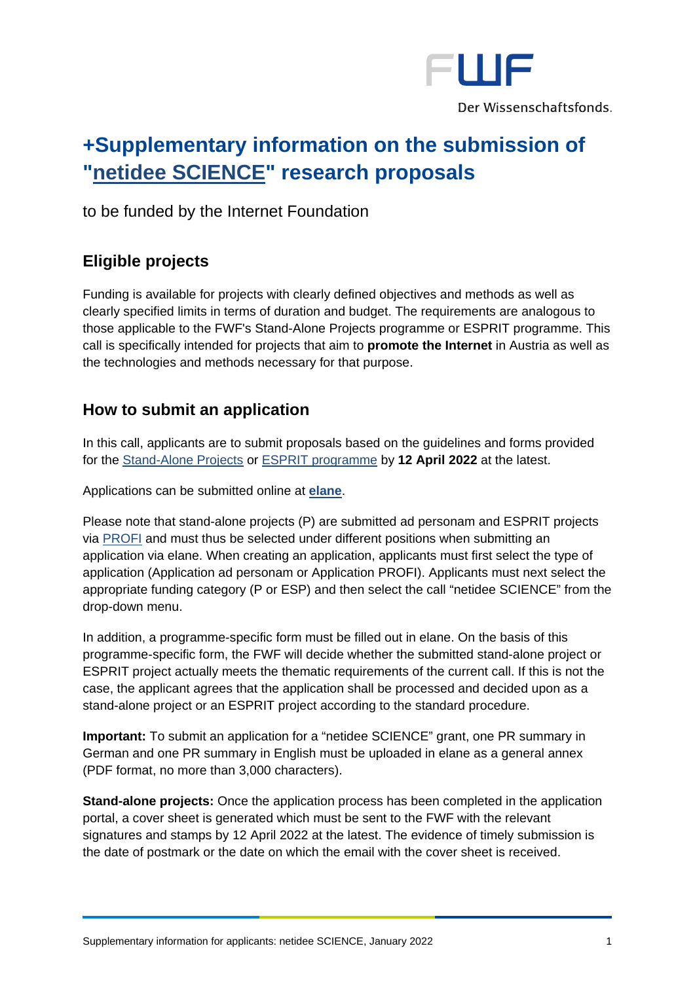

# **+Supplementary information on the submission of ["netidee SCIENCE"](https://www.netidee.at/einreichen/science) research proposals**

to be funded by the Internet Foundation

# **Eligible projects**

Funding is available for projects with clearly defined objectives and methods as well as clearly specified limits in terms of duration and budget. The requirements are analogous to those applicable to the FWF's Stand-Alone Projects programme or ESPRIT programme. This call is specifically intended for projects that aim to **promote the Internet** in Austria as well as the technologies and methods necessary for that purpose.

## **How to submit an application**

In this call, applicants are to submit proposals based on the guidelines and forms provided for the [Stand-Alone Projects](http://www.fwf.ac.at/en/research-funding/application/stand-alone-projects/) or [ESPRIT programme](https://www.fwf.ac.at/en/research-funding/application/esprit) by **12 April 2022** at the latest.

Applications can be submitted online at **[elane](https://elane.fwf.ac.at/)**.

Please note that stand-alone projects (P) are submitted ad personam and ESPRIT projects via [PROFI](https://www.fwf.ac.at/en/research-funding/project-funding-via-profi) and must thus be selected under different positions when submitting an application via elane. When creating an application, applicants must first select the type of application (Application ad personam or Application PROFI). Applicants must next select the appropriate funding category (P or ESP) and then select the call "netidee SCIENCE" from the drop-down menu.

In addition, a programme-specific form must be filled out in elane. On the basis of this programme-specific form, the FWF will decide whether the submitted stand-alone project or ESPRIT project actually meets the thematic requirements of the current call. If this is not the case, the applicant agrees that the application shall be processed and decided upon as a stand-alone project or an ESPRIT project according to the standard procedure.

**Important:** To submit an application for a "netidee SCIENCE" grant, one PR summary in German and one PR summary in English must be uploaded in elane as a general annex (PDF format, no more than 3,000 characters).

**Stand-alone projects:** Once the application process has been completed in the application portal, a cover sheet is generated which must be sent to the FWF with the relevant signatures and stamps by 12 April 2022 at the latest. The evidence of timely submission is the date of postmark or the date on which the email with the cover sheet is received.